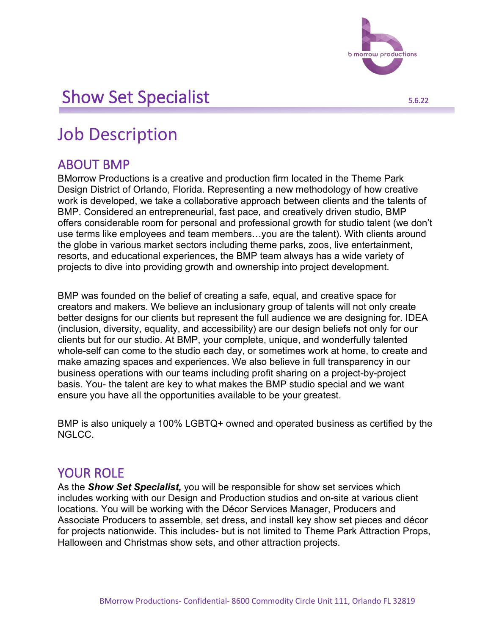

# Show Set Specialist 5.6.22

# Job Description

### ABOUT BMP

BMorrow Productions is a creative and production firm located in the Theme Park Design District of Orlando, Florida. Representing a new methodology of how creative work is developed, we take a collaborative approach between clients and the talents of BMP. Considered an entrepreneurial, fast pace, and creatively driven studio, BMP offers considerable room for personal and professional growth for studio talent (we don't use terms like employees and team members…you are the talent). With clients around the globe in various market sectors including theme parks, zoos, live entertainment, resorts, and educational experiences, the BMP team always has a wide variety of projects to dive into providing growth and ownership into project development.

BMP was founded on the belief of creating a safe, equal, and creative space for creators and makers. We believe an inclusionary group of talents will not only create better designs for our clients but represent the full audience we are designing for. IDEA (inclusion, diversity, equality, and accessibility) are our design beliefs not only for our clients but for our studio. At BMP, your complete, unique, and wonderfully talented whole-self can come to the studio each day, or sometimes work at home, to create and make amazing spaces and experiences. We also believe in full transparency in our business operations with our teams including profit sharing on a project-by-project basis. You- the talent are key to what makes the BMP studio special and we want ensure you have all the opportunities available to be your greatest.

BMP is also uniquely a 100% LGBTQ+ owned and operated business as certified by the NGLCC.

#### YOUR ROLE

As the *Show Set Specialist,* you will be responsible for show set services which includes working with our Design and Production studios and on-site at various client locations. You will be working with the Décor Services Manager, Producers and Associate Producers to assemble, set dress, and install key show set pieces and décor for projects nationwide. This includes- but is not limited to Theme Park Attraction Props, Halloween and Christmas show sets, and other attraction projects.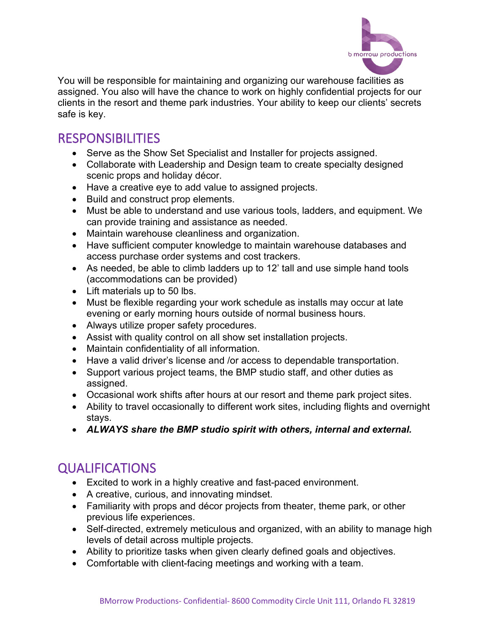

You will be responsible for maintaining and organizing our warehouse facilities as assigned. You also will have the chance to work on highly confidential projects for our clients in the resort and theme park industries. Your ability to keep our clients' secrets safe is key.

## RESPONSIBILITIES

- Serve as the Show Set Specialist and Installer for projects assigned.
- Collaborate with Leadership and Design team to create specialty designed scenic props and holiday décor.
- Have a creative eye to add value to assigned projects.
- Build and construct prop elements.
- Must be able to understand and use various tools, ladders, and equipment. We can provide training and assistance as needed.
- Maintain warehouse cleanliness and organization.
- Have sufficient computer knowledge to maintain warehouse databases and access purchase order systems and cost trackers.
- As needed, be able to climb ladders up to 12' tall and use simple hand tools (accommodations can be provided)
- Lift materials up to 50 lbs.
- Must be flexible regarding your work schedule as installs may occur at late evening or early morning hours outside of normal business hours.
- Always utilize proper safety procedures.
- Assist with quality control on all show set installation projects.
- Maintain confidentiality of all information.
- Have a valid driver's license and /or access to dependable transportation.
- Support various project teams, the BMP studio staff, and other duties as assigned.
- Occasional work shifts after hours at our resort and theme park project sites.
- Ability to travel occasionally to different work sites, including flights and overnight stays.
- *ALWAYS share the BMP studio spirit with others, internal and external.*

## QUALIFICATIONS

- Excited to work in a highly creative and fast-paced environment.
- A creative, curious, and innovating mindset.
- Familiarity with props and décor projects from theater, theme park, or other previous life experiences.
- Self-directed, extremely meticulous and organized, with an ability to manage high levels of detail across multiple projects.
- Ability to prioritize tasks when given clearly defined goals and objectives.
- Comfortable with client-facing meetings and working with a team.